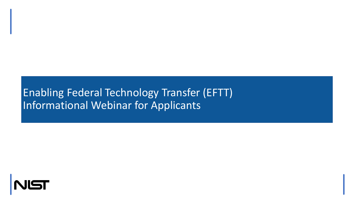### Enabling Federal Technology Transfer (EFTT) Informational Webinar for Applicants

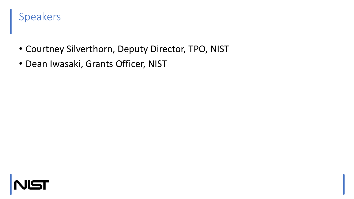### Speakers

- Courtney Silverthorn, Deputy Director, TPO, NIST
- Dean Iwasaki, Grants Officer, NIST

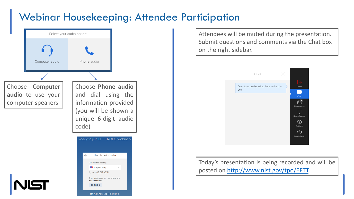### Webinar Housekeeping: Attendee Participation



Attendees will be muted during the presentation. Submit questions and comments via the Chat box on the right sidebar.



Today's presentation is being recorded and will be posted on [http://www.nist.gov/tpo/EFTT.](http://www.nist.gov/tpo/EFTT)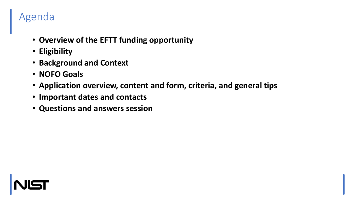### Agenda

- **Overview of the EFTT funding opportunity**
- **Eligibility**
- **Background and Context**
- **NOFO Goals**
- **Application overview, content and form, criteria, and general tips**
- **Important dates and contacts**
- **Questions and answers session**

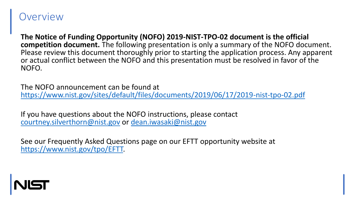#### **Overview**

**The Notice of Funding Opportunity (NOFO) 2019-NIST-TPO-02 document is the official competition document.** The following presentation is only a summary of the NOFO document. Please review this document thoroughly prior to starting the application process. Any apparent or actual conflict between the NOFO and this presentation must be resolved in favor of the NOFO.

The NOFO announcement can be found at <https://www.nist.gov/sites/default/files/documents/2019/06/17/2019-nist-tpo-02.pdf>

If you have questions about the NOFO instructions, please contact [courtney.silverthorn@nist.gov](mailto:courtney.silverthorn@nist.gov) or [dean.iwasaki@nist.gov](mailto:dean.iwasaki@nist.gov)

See our Frequently Asked Questions page on our EFTT opportunity website at [https://www.nist.gov/tpo/EFTT.](https://www.nist.gov/tpo/EFTT)

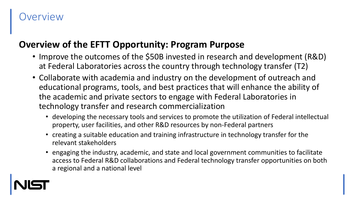### **Overview**

#### **Overview of the EFTT Opportunity: Program Purpose**

- Improve the outcomes of the \$50B invested in research and development (R&D) at Federal Laboratories across the country through technology transfer (T2)
- Collaborate with academia and industry on the development of outreach and educational programs, tools, and best practices that will enhance the ability of the academic and private sectors to engage with Federal Laboratories in technology transfer and research commercialization
	- developing the necessary tools and services to promote the utilization of Federal intellectual property, user facilities, and other R&D resources by non-Federal partners
	- creating a suitable education and training infrastructure in technology transfer for the relevant stakeholders
	- engaging the industry, academic, and state and local government communities to facilitate access to Federal R&D collaborations and Federal technology transfer opportunities on both a regional and a national level

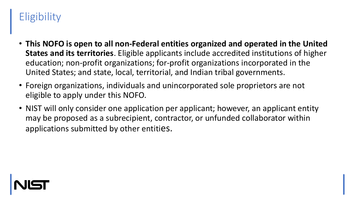### **Eligibility**

- **This NOFO is open to all non-Federal entities organized and operated in the United States and its territories**. Eligible applicants include accredited institutions of higher education; non-profit organizations; for-profit organizations incorporated in the United States; and state, local, territorial, and Indian tribal governments.
- Foreign organizations, individuals and unincorporated sole proprietors are not eligible to apply under this NOFO.
- NIST will only consider one application per applicant; however, an applicant entity may be proposed as a subrecipient, contractor, or unfunded collaborator within applications submitted by other entities.

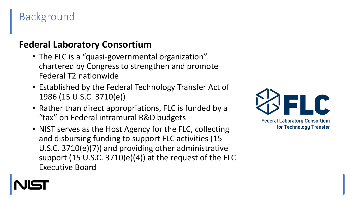### Background

### **Federal Laboratory Consortium**

- The FLC is a "quasi-governmental organization" chartered by Congress to strengthen and promote Federal T2 nationwide
- Established by the Federal Technology Transfer Act of 1986 (15 U.S.C. 3710(e))
- Rather than direct appropriations, FLC is funded by a "tax" on Federal intramural R&D budgets
- NIST serves as the Host Agency for the FLC, collecting and disbursing funding to support FLC activities (15 U.S.C. 3710(e)(7)) and providing other administrative support (15 U.S.C. 3710(e)(4)) at the request of the FLC Executive Board



**Federal Laboratory Consortium** for Technology Transfer

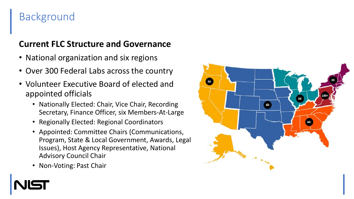### Background

#### **Current FLC Structure and Governance**

- National organization and six regions
- Over 300 Federal Labs across the country
- Volunteer Executive Board of elected and appointed officials
	- Nationally Elected: Chair, Vice Chair, Recording Secretary, Finance Officer, six Members-At-Large
	- Regionally Elected: Regional Coordinators
	- Appointed: Committee Chairs (Communications, Program, State & Local Government, Awards, Legal Issues), Host Agency Representative, National Advisory Council Chair
	- Non-Voting: Past Chair

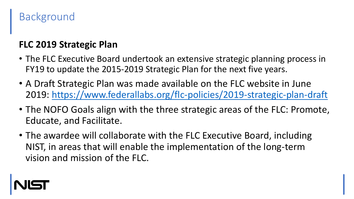### Background

### **FLC 2019 Strategic Plan**

- The FLC Executive Board undertook an extensive strategic planning process in FY19 to update the 2015-2019 Strategic Plan for the next five years.
- A Draft Strategic Plan was made available on the FLC website in June 2019: <https://www.federallabs.org/flc-policies/2019-strategic-plan-draft>
- The NOFO Goals align with the three strategic areas of the FLC: Promote, Educate, and Facilitate.
- The awardee will collaborate with the FLC Executive Board, including NIST, in areas that will enable the implementation of the long-term vision and mission of the FLC.

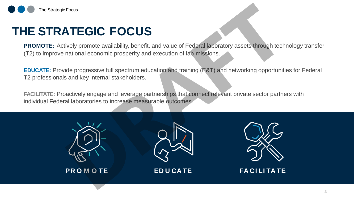

## **THE STRATEGIC FOCUS**

**PROMOTE:** Actively promote availability, benefit, and value of Federal laboratory assets through technology transfer (T2) to improve national economic prosperity and execution of lab missions.

**EDUCATE:** Provide progressive full spectrum education and training (E&T) and networking opportunities for Federal T2 professionals and key internal stakeholders.

**FACILITATE:** Proactively engage and leverage partnerships that connect relevant private sector partners with individual Federal laboratories to increase measurable outcomes.





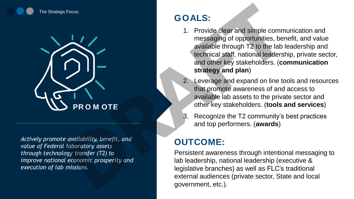



*Actively promote availability, benefit, and value of Federal laboratory assets through technology transfer (T2) to improve national economic prosperity and execution of lab missions.*

#### **GOALS:**

- 1. Provide clear and simple communication and messaging of opportunities, benefit, and value available through T2 to the lab leadership and technical staff, national leadership, private sector, and other key stakeholders. (**communication strategy and plan**)
- Leverage and expand on line tools and resources that promote awareness of and access to available lab assets to the private sector and other key stakeholders. (**tools and services**)
- 3. Recognize the T2 community's best practices and top performers. (**awards**)

### **OUTCOME:**

Persistent awareness through intentional messaging to lab leadership, national leadership (executive & legislative branches) as well as FLC's traditional external audiences (private sector, State and local government, etc.).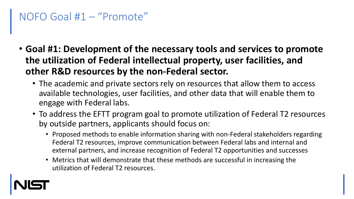### NOFO Goal #1 – "Promote"

- **Goal #1: Development of the necessary tools and services to promote the utilization of Federal intellectual property, user facilities, and other R&D resources by the non-Federal sector.**
	- The academic and private sectors rely on resources that allow them to access available technologies, user facilities, and other data that will enable them to engage with Federal labs.
	- To address the EFTT program goal to promote utilization of Federal T2 resources by outside partners, applicants should focus on:
		- Proposed methods to enable information sharing with non-Federal stakeholders regarding Federal T2 resources, improve communication between Federal labs and internal and external partners, and increase recognition of Federal T2 opportunities and successes
		- Metrics that will demonstrate that these methods are successful in increasing the utilization of Federal T2 resources.

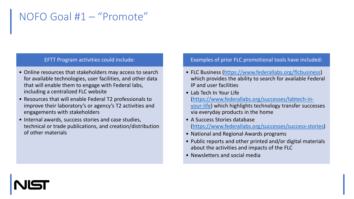### NOFO Goal #1 – "Promote"

#### EFTT Program activities could include:

- Online resources that stakeholders may access to search for available technologies, user facilities, and other data that will enable them to engage with Federal labs, including a centralized FLC website
- Resources that will enable Federal T2 professionals to improve their laboratory's or agency's T2 activities and engagements with stakeholders
- Internal awards, success stories and case studies, technical or trade publications, and creation/distribution of other materials

#### Examples of prior FLC promotional tools have included:

- FLC Business (<https://www.federallabs.org/flcbusiness>) which provides the ability to search for available Federal IP and user facilities
- Lab Tech In Your Life [\(https://www.federallabs.org/successes/labtech-in](https://www.federallabs.org/successes/labtech-in-your-life)your-life) which highlights technology transfer successes via everyday products in the home
- A Success Stories database [\(https://www.federallabs.org/successes/success-stories\)](https://www.federallabs.org/successes/success-stories)
- National and Regional Awards programs
- Public reports and other printed and/or digital materials about the activities and impacts of the FLC
- Newsletters and social media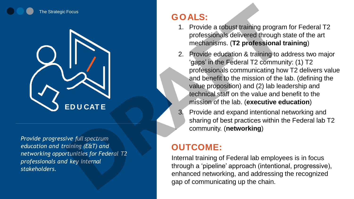



*Provide progressive full spectrum education and training (E&T) and networking opportunities for Federal T2 professionals and key internal stakeholders.*

### **GOALS:**

- 1. Provide a robust training program for Federal T2 professionals delivered through state of the art mechanisms. (**T2 professional training**)
- 2. Provide education & training to address two major 'gaps' in the Federal T2 community: (1) T2 professionals communicating how T2 delivers value and benefit to the mission of the lab. (defining the value proposition) and (2) lab leadership and technical staff on the value and benefit to the mission of the lab. (**executive education**)
- 3. Provide and expand intentional networking and sharing of best practices within the Federal lab T2 community. (**networking**)

### **OUTCOME:**

Internal training of Federal lab employees is in focus through a 'pipeline' approach (intentional, progressive), enhanced networking, and addressing the recognized gap of communicating up the chain.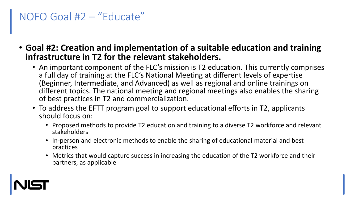## NOFO Goal #2 – "Educate"

- **Goal #2: Creation and implementation of a suitable education and training infrastructure in T2 for the relevant stakeholders.**
	- An important component of the FLC's mission is T2 education. This currently comprises a full day of training at the FLC's National Meeting at different levels of expertise (Beginner, Intermediate, and Advanced) as well as regional and online trainings on different topics. The national meeting and regional meetings also enables the sharing of best practices in T2 and commercialization.
	- To address the EFTT program goal to support educational efforts in T2, applicants should focus on:
		- Proposed methods to provide T2 education and training to a diverse T2 workforce and relevant stakeholders
		- In-person and electronic methods to enable the sharing of educational material and best practices
		- Metrics that would capture success in increasing the education of the T2 workforce and their partners, as applicable

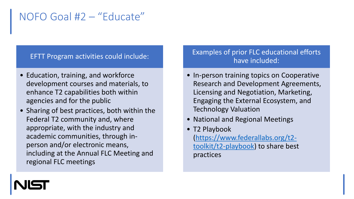### NOFO Goal #2 – "Educate"

#### EFTT Program activities could include:

- Education, training, and workforce development courses and materials, to enhance T2 capabilities both within agencies and for the public
- Sharing of best practices, both within the Federal T2 community and, where appropriate, with the industry and academic communities, through inperson and/or electronic means, including at the Annual FLC Meeting and regional FLC meetings

#### Examples of prior FLC educational efforts have included:

- In-person training topics on Cooperative Research and Development Agreements, Licensing and Negotiation, Marketing, Engaging the External Ecosystem, and Technology Valuation
- National and Regional Meetings
- T2 Playbook [\(https://www.federallabs.org/t2](https://www.federallabs.org/t2-toolkit/t2-playbook) toolkit/t2-playbook) to share best practices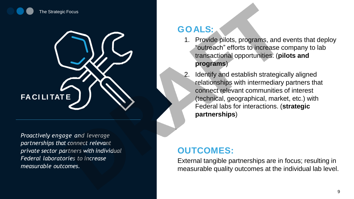



*Proactively engage and leverage partnerships that connect relevant private sector partners with individual Federal laboratories to increase measurable outcomes.*

#### **GOALS:**

- 1. Provide pilots, programs, and events that deploy "outreach" efforts to increase company to lab transactional opportunities. (**pilots and programs**)
- Identify and establish strategically aligned relationships with intermediary partners that connect relevant communities of interest (technical, geographical, market, etc.) with Federal labs for interactions. (**strategic partnerships**)

#### **OUTCOMES:**

External tangible partnerships are in focus; resulting in measurable quality outcomes at the individual lab level.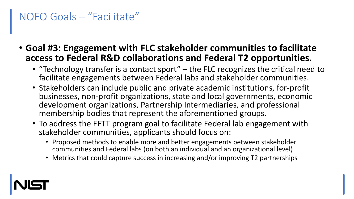## NOFO Goals – "Facilitate"

- **Goal #3: Engagement with FLC stakeholder communities to facilitate access to Federal R&D collaborations and Federal T2 opportunities.**
	- "Technology transfer is a contact sport" the FLC recognizes the critical need to facilitate engagements between Federal labs and stakeholder communities.
	- Stakeholders can include public and private academic institutions, for-profit businesses, non-profit organizations, state and local governments, economic development organizations, Partnership Intermediaries, and professional membership bodies that represent the aforementioned groups.
	- To address the EFTT program goal to facilitate Federal lab engagement with stakeholder communities, applicants should focus on:
		- Proposed methods to enable more and better engagements between stakeholder communities and Federal labs (on both an individual and an organizational level)
		- Metrics that could capture success in increasing and/or improving T2 partnerships

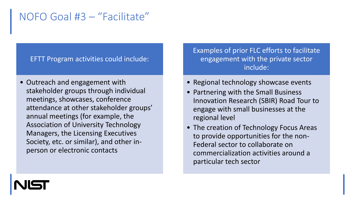### NOFO Goal #3 – "Facilitate"

#### EFTT Program activities could include:

• Outreach and engagement with stakeholder groups through individual meetings, showcases, conference attendance at other stakeholder groups' annual meetings (for example, the Association of University Technology Managers, the Licensing Executives Society, etc. or similar), and other inperson or electronic contacts

Examples of prior FLC efforts to facilitate engagement with the private sector include:

- Regional technology showcase events
- Partnering with the Small Business Innovation Research (SBIR) Road Tour to engage with small businesses at the regional level
- The creation of Technology Focus Areas to provide opportunities for the non-Federal sector to collaborate on commercialization activities around a particular tech sector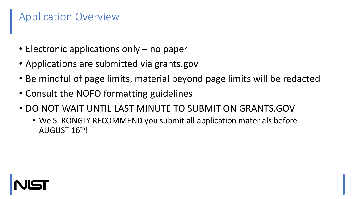## Application Overview

- Electronic applications only no paper
- Applications are submitted via grants.gov
- Be mindful of page limits, material beyond page limits will be redacted
- Consult the NOFO formatting guidelines
- DO NOT WAIT UNTIL LAST MINUTE TO SUBMIT ON GRANTS.GOV
	- We STRONGLY RECOMMEND you submit all application materials before AUGUST 16th!

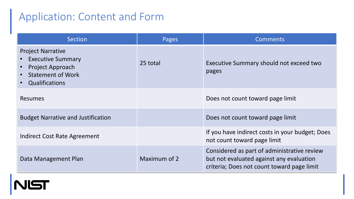### Application: Content and Form

| Section                                                                                                                       | Pages        | <b>Comments</b>                                                                                                                       |  |
|-------------------------------------------------------------------------------------------------------------------------------|--------------|---------------------------------------------------------------------------------------------------------------------------------------|--|
| <b>Project Narrative</b><br><b>Executive Summary</b><br><b>Project Approach</b><br><b>Statement of Work</b><br>Qualifications | 25 total     | Executive Summary should not exceed two<br>pages                                                                                      |  |
| <b>Resumes</b>                                                                                                                |              | Does not count toward page limit                                                                                                      |  |
| <b>Budget Narrative and Justification</b>                                                                                     |              | Does not count toward page limit                                                                                                      |  |
| Indirect Cost Rate Agreement                                                                                                  |              | If you have indirect costs in your budget; Does<br>not count toward page limit                                                        |  |
| Data Management Plan                                                                                                          | Maximum of 2 | Considered as part of administrative review<br>but not evaluated against any evaluation<br>criteria; Does not count toward page limit |  |

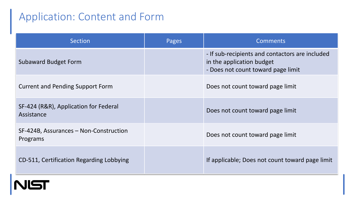### Application: Content and Form

| <b>Section</b>                                      | Pages | <b>Comments</b>                                                                                                    |
|-----------------------------------------------------|-------|--------------------------------------------------------------------------------------------------------------------|
| <b>Subaward Budget Form</b>                         |       | - If sub-recipients and contactors are included<br>in the application budget<br>- Does not count toward page limit |
| <b>Current and Pending Support Form</b>             |       | Does not count toward page limit                                                                                   |
| SF-424 (R&R), Application for Federal<br>Assistance |       | Does not count toward page limit                                                                                   |
| SF-424B, Assurances – Non-Construction<br>Programs  |       | Does not count toward page limit                                                                                   |
| CD-511, Certification Regarding Lobbying            |       | If applicable; Does not count toward page limit                                                                    |

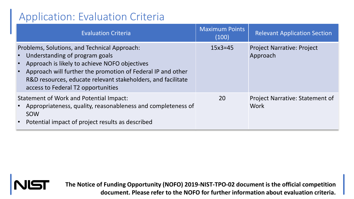# Application: Evaluation Criteria

| <b>Evaluation Criteria</b>                                                                                                                                                                                                                                                                           | <b>Maximum Points</b><br>(100) | <b>Relevant Application Section</b>            |
|------------------------------------------------------------------------------------------------------------------------------------------------------------------------------------------------------------------------------------------------------------------------------------------------------|--------------------------------|------------------------------------------------|
| Problems, Solutions, and Technical Approach:<br>Understanding of program goals<br>Approach is likely to achieve NOFO objectives<br>Approach will further the promotion of Federal IP and other<br>R&D resources, educate relevant stakeholders, and facilitate<br>access to Federal T2 opportunities | $15x3 = 45$                    | <b>Project Narrative: Project</b><br>Approach  |
| Statement of Work and Potential Impact:<br>Appropriateness, quality, reasonableness and completeness of<br>SOW<br>Potential impact of project results as described                                                                                                                                   | 20                             | <b>Project Narrative: Statement of</b><br>Work |



**The Notice of Funding Opportunity (NOFO) 2019-NIST-TPO-02 document is the official competition document. Please refer to the NOFO for further information about evaluation criteria.**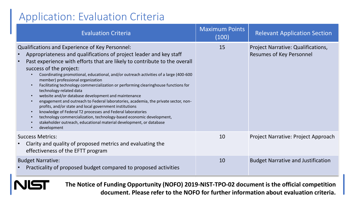## Application: Evaluation Criteria

| <b>Evaluation Criteria</b>                                                                                                                                                                                                                                                                                                                                                                                                                                                                                                                                                                                                                                                                                                                                                                                                                                                                                         | <b>Maximum Points</b><br>(100) | <b>Relevant Application Section</b>                                   |
|--------------------------------------------------------------------------------------------------------------------------------------------------------------------------------------------------------------------------------------------------------------------------------------------------------------------------------------------------------------------------------------------------------------------------------------------------------------------------------------------------------------------------------------------------------------------------------------------------------------------------------------------------------------------------------------------------------------------------------------------------------------------------------------------------------------------------------------------------------------------------------------------------------------------|--------------------------------|-----------------------------------------------------------------------|
| Qualifications and Experience of Key Personnel:<br>Appropriateness and qualifications of project leader and key staff<br>Past experience with efforts that are likely to contribute to the overall<br>success of the project:<br>Coordinating promotional, educational, and/or outreach activities of a large (400-600<br>member) professional organization<br>Facilitating technology commercialization or performing clearinghouse functions for<br>technology-related data<br>website and/or database development and maintenance<br>engagement and outreach to Federal laboratories, academia, the private sector, non-<br>profits, and/or state and local government institutions<br>knowledge of Federal T2 processes and Federal laboratories<br>technology commercialization, technology-based economic development,<br>stakeholder outreach, educational material development, or database<br>development | 15                             | Project Narrative: Qualifications,<br><b>Resumes of Key Personnel</b> |
| <b>Success Metrics:</b><br>Clarity and quality of proposed metrics and evaluating the<br>effectiveness of the EFTT program                                                                                                                                                                                                                                                                                                                                                                                                                                                                                                                                                                                                                                                                                                                                                                                         | 10                             | Project Narrative: Project Approach                                   |
| <b>Budget Narrative:</b><br>Practicality of proposed budget compared to proposed activities                                                                                                                                                                                                                                                                                                                                                                                                                                                                                                                                                                                                                                                                                                                                                                                                                        | 10                             | <b>Budget Narrative and Justification</b>                             |

**The Notice of Funding Opportunity (NOFO) 2019-NIST-TPO-02 document is the official competition document. Please refer to the NOFO for further information about evaluation criteria.**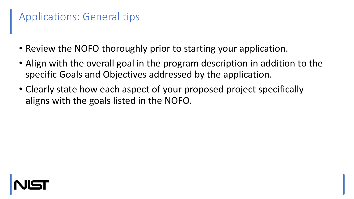# Applications: General tips

- Review the NOFO thoroughly prior to starting your application.
- Align with the overall goal in the program description in addition to the specific Goals and Objectives addressed by the application.
- Clearly state how each aspect of your proposed project specifically aligns with the goals listed in the NOFO.